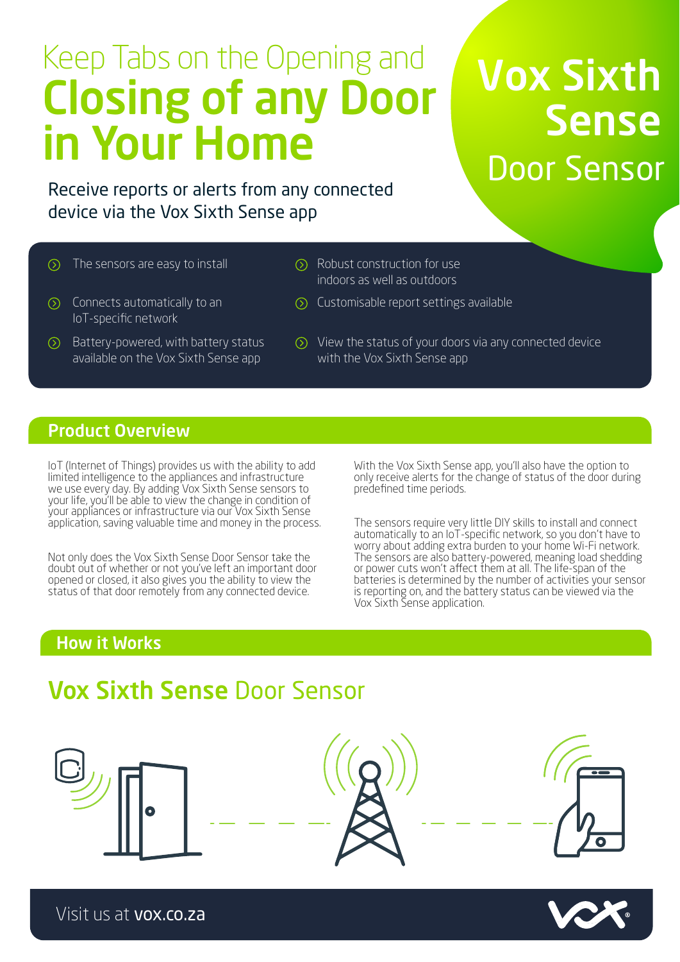# Keep Tabs on the Opening and Closing of any Door in Your Home

# Vox Sixth Sense Door Sensor

Receive reports or alerts from any connected device via the Vox Sixth Sense app

- $\circledcirc$
- The sensors are easy to install  $\oslash$  Robust construction for use indoors as well as outdoors
- $\circled{)}$  Connects automatically to an IoT-specific network
- $\odot$  Battery-powered, with battery status available on the Vox Sixth Sense app
- $\odot$  View the status of your doors via any connected device
- with the Vox Sixth Sense app

Customisable report settings available

### Product Overview

IoT (Internet of Things) provides us with the ability to add limited intelligence to the appliances and infrastructure we use every day. By adding Vox Sixth Sense sensors to your life, you'll be able to view the change in condition of your appliances or infrastructure via our Vox Sixth Sense application, saving valuable time and money in the process.

Not only does the Vox Sixth Sense Door Sensor take the doubt out of whether or not you've left an important door opened or closed, it also gives you the ability to view the status of that door remotely from any connected device.

With the Vox Sixth Sense app, you'll also have the option to only receive alerts for the change of status of the door during predefined time periods.

The sensors require very little DIY skills to install and connect automatically to an IoT-specific network, so you don't have to worry about adding extra burden to your home Wi-Fi network. The sensors are also battery-powered, meaning load shedding or power cuts won't affect them at all. The life-span of the batteries is determined by the number of activities your sensor is reporting on, and the battery status can be viewed via the Vox Sixth Sense application.

### How it Works

# Vox Sixth Sense Door Sensor



Visit us at vox.co.za